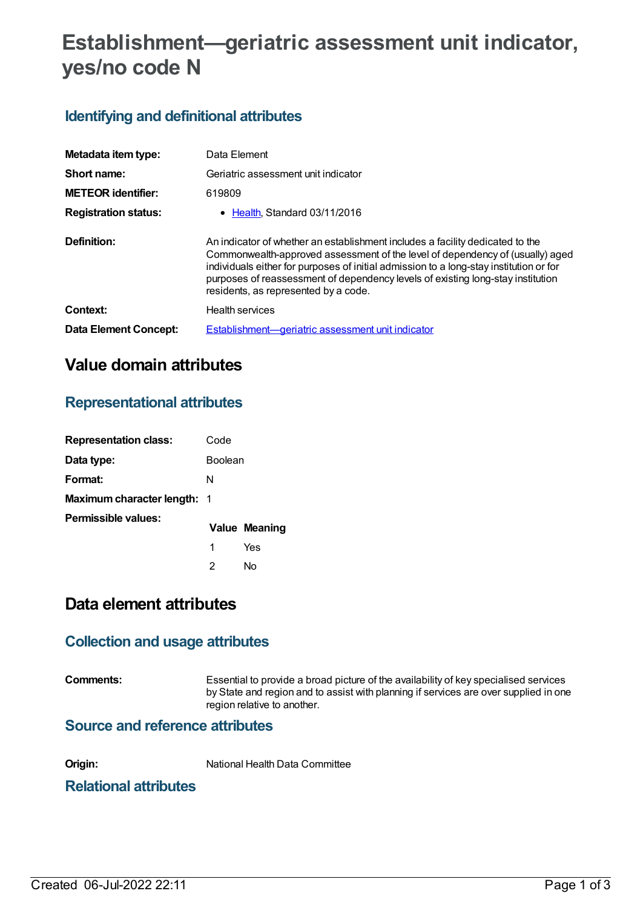# **Establishment—geriatric assessment unit indicator, yes/no code N**

### **Identifying and definitional attributes**

| Metadata item type:          | Data Element                                                                                                                                                                                                                                                                                                                                                                        |
|------------------------------|-------------------------------------------------------------------------------------------------------------------------------------------------------------------------------------------------------------------------------------------------------------------------------------------------------------------------------------------------------------------------------------|
| Short name:                  | Geriatric assessment unit indicator                                                                                                                                                                                                                                                                                                                                                 |
| <b>METEOR</b> identifier:    | 619809                                                                                                                                                                                                                                                                                                                                                                              |
| <b>Registration status:</b>  | • Health, Standard 03/11/2016                                                                                                                                                                                                                                                                                                                                                       |
| Definition:                  | An indicator of whether an establishment includes a facility dedicated to the<br>Commonwealth-approved assessment of the level of dependency of (usually) aged<br>individuals either for purposes of initial admission to a long-stay institution or for<br>purposes of reassessment of dependency levels of existing long-stay institution<br>residents, as represented by a code. |
| Context:                     | Health services                                                                                                                                                                                                                                                                                                                                                                     |
| <b>Data Element Concept:</b> | Establishment—geriatric assessment unit indicator                                                                                                                                                                                                                                                                                                                                   |

## **Value domain attributes**

### **Representational attributes**

| <b>Representation class:</b>       | Code           |                      |
|------------------------------------|----------------|----------------------|
| Data type:                         | <b>Boolean</b> |                      |
| Format:                            | N              |                      |
| <b>Maximum character length: 1</b> |                |                      |
| Permissible values:                |                | <b>Value Meaning</b> |
|                                    | 1              | Yes                  |
|                                    | 2              | N٥                   |

## **Data element attributes**

### **Collection and usage attributes**

**Comments:** Essential to provide a broad picture of the availability of key specialised services by State and region and to assist with planning if services are over supplied in one region relative to another.

#### **Source and reference attributes**

**Origin:** National Health Data Committee

### **Relational attributes**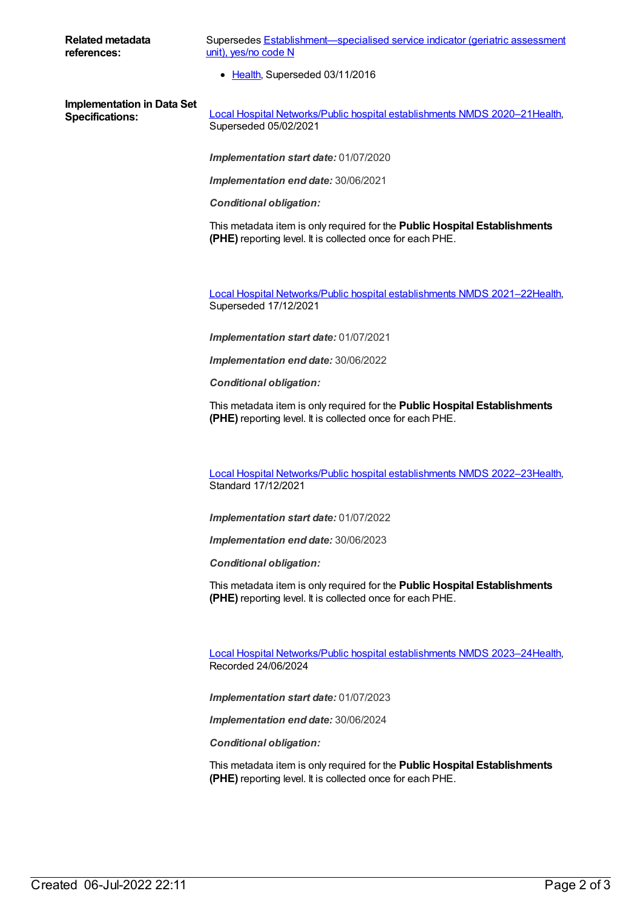#### **Related metadata references:**

Supersedes Establishment-specialised service indicator (geriatric assessment unit), yes/no code N

• [Health](https://meteor.aihw.gov.au/RegistrationAuthority/12), Superseded 03/11/2016

**Implementation in Data Set**

**Specifications:** Local Hospital [Networks/Public](https://meteor.aihw.gov.au/content/713848) hospital establishments NMDS 2020–21[Health](https://meteor.aihw.gov.au/RegistrationAuthority/12), Superseded 05/02/2021

*Implementation start date:* 01/07/2020

*Implementation end date:* 30/06/2021

*Conditional obligation:*

This metadata item is only required for the **Public Hospital Establishments (PHE)** reporting level. It is collected once for each PHE.

Local Hospital [Networks/Public](https://meteor.aihw.gov.au/content/727356) hospital establishments NMDS 2021–22[Health](https://meteor.aihw.gov.au/RegistrationAuthority/12), Superseded 17/12/2021

*Implementation start date:* 01/07/2021

*Implementation end date:* 30/06/2022

*Conditional obligation:*

This metadata item is only required for the **Public Hospital Establishments (PHE)** reporting level. It is collected once for each PHE.

Local Hospital [Networks/Public](https://meteor.aihw.gov.au/content/742044) hospital establishments NMDS 2022–23[Health](https://meteor.aihw.gov.au/RegistrationAuthority/12), Standard 17/12/2021

*Implementation start date:* 01/07/2022

*Implementation end date:* 30/06/2023

*Conditional obligation:*

This metadata item is only required for the **Public Hospital Establishments (PHE)** reporting level. It is collected once for each PHE.

Local Hospital [Networks/Public](https://meteor.aihw.gov.au/content/756101) hospital establishments NMDS 2023–24[Health](https://meteor.aihw.gov.au/RegistrationAuthority/12), Recorded 24/06/2024

*Implementation start date:* 01/07/2023

*Implementation end date:* 30/06/2024

*Conditional obligation:*

This metadata item is only required for the **Public Hospital Establishments (PHE)** reporting level. It is collected once for each PHE.